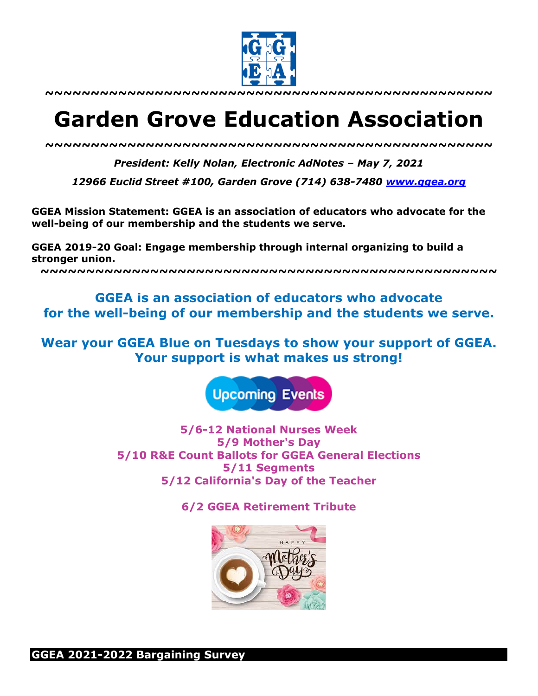

**~~~~~~~~~~~~~~~~~~~~~~~~~~~~~~~~~~~~~~~~~~~~~~~~~**

# **Garden Grove Education Association**

*~~~~~~~~~~~~~~~~~~~~~~~~~~~~~~~~~~~~~~~~~~~~~~~~~*

*President: Kelly Nolan, Electronic AdNotes – May 7, 2021*

*12966 Euclid Street #100, Garden Grove (714) 638-7480 www.ggea.org*

**GGEA Mission Statement: GGEA is an association of educators who advocate for the well-being of our membership and the students we serve.** 

**GGEA 2019-20 Goal: Engage membership through internal organizing to build a stronger union.**

**~~~~~~~~~~~~~~~~~~~~~~~~~~~~~~~~~~~~~~~~~~~~~~~~~~**

**GGEA is an association of educators who advocate for the well-being of our membership and the students we serve.**

**Wear your GGEA Blue on Tuesdays to show your support of GGEA. Your support is what makes us strong!**



**5/6-12 National Nurses Week 5/9 Mother's Day 5/10 R&E Count Ballots for GGEA General Elections 5/11 Segments 5/12 California's Day of the Teacher**

**6/2 GGEA Retirement Tribute**

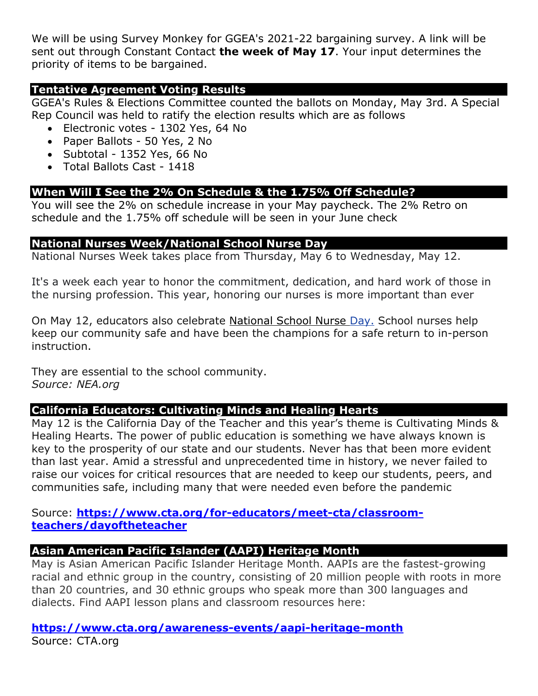We will be using Survey Monkey for GGEA's 2021-22 bargaining survey. A link will be sent out through Constant Contact **the week of May 17**. Your input determines the priority of items to be bargained.

# **Tentative Agreement Voting Results**

GGEA's Rules & Elections Committee counted the ballots on Monday, May 3rd. A Special Rep Council was held to ratify the election results which are as follows

- Electronic votes 1302 Yes, 64 No
- Paper Ballots 50 Yes, 2 No
- Subtotal 1352 Yes, 66 No
- Total Ballots Cast 1418

# **When Will I See the 2% On Schedule & the 1.75% Off Schedule?**

You will see the 2% on schedule increase in your May paycheck. The 2% Retro on schedule and the 1.75% off schedule will be seen in your June check

## **National Nurses Week/National School Nurse Day**

National Nurses Week takes place from Thursday, May 6 to Wednesday, May 12.

It's a week each year to honor the commitment, dedication, and hard work of those in the nursing profession. This year, honoring our nurses is more important than ever

On May 12, educators also celebrate National School Nurse Day. School nurses help keep our community safe and have been the champions for a safe return to in-person instruction.

They are essential to the school community. *Source: NEA.org*

# **California Educators: Cultivating Minds and Healing Hearts**

May 12 is the California Day of the Teacher and this year's theme is Cultivating Minds & Healing Hearts. The power of public education is something we have always known is key to the prosperity of our state and our students. Never has that been more evident than last year. Amid a stressful and unprecedented time in history, we never failed to raise our voices for critical resources that are needed to keep our students, peers, and communities safe, including many that were needed even before the pandemic

Source: **https://www.cta.org/for-educators/meet-cta/classroomteachers/dayoftheteacher**

### **Asian American Pacific Islander (AAPI) Heritage Month**

May is Asian American Pacific Islander Heritage Month. AAPIs are the fastest-growing racial and ethnic group in the country, consisting of 20 million people with roots in more than 20 countries, and 30 ethnic groups who speak more than 300 languages and dialects. Find AAPI lesson plans and classroom resources here:

**https://www.cta.org/awareness-events/aapi-heritage-month** Source: CTA.org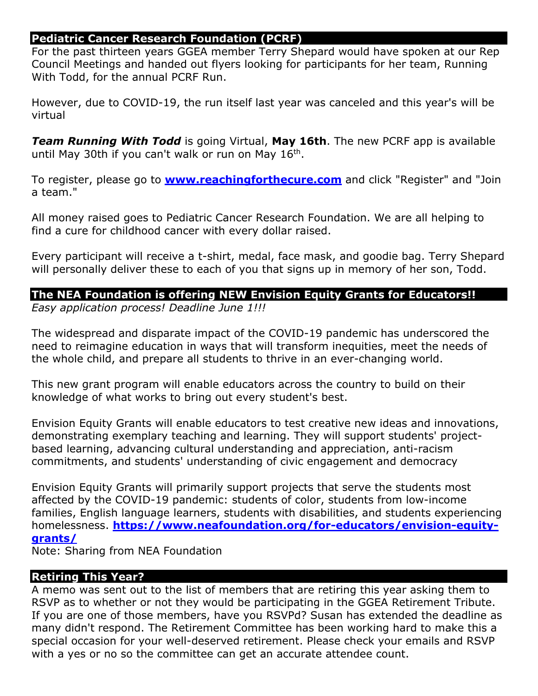# **Pediatric Cancer Research Foundation (PCRF)**

For the past thirteen years GGEA member Terry Shepard would have spoken at our Rep Council Meetings and handed out flyers looking for participants for her team, Running With Todd, for the annual PCRF Run.

However, due to COVID-19, the run itself last year was canceled and this year's will be virtual

*Team Running With Todd* is going Virtual, **May 16th**. The new PCRF app is available until May 30th if you can't walk or run on May 16<sup>th</sup>.

To register, please go to **www.reachingforthecure.com** and click "Register" and "Join a team."

All money raised goes to Pediatric Cancer Research Foundation. We are all helping to find a cure for childhood cancer with every dollar raised.

Every participant will receive a t-shirt, medal, face mask, and goodie bag. Terry Shepard will personally deliver these to each of you that signs up in memory of her son, Todd.

# **The NEA Foundation is offering NEW Envision Equity Grants for Educators!!**

*Easy application process! Deadline June 1!!!*

The widespread and disparate impact of the COVID-19 pandemic has underscored the need to reimagine education in ways that will transform inequities, meet the needs of the whole child, and prepare all students to thrive in an ever-changing world.

This new grant program will enable educators across the country to build on their knowledge of what works to bring out every student's best.

Envision Equity Grants will enable educators to test creative new ideas and innovations, demonstrating exemplary teaching and learning. They will support students' projectbased learning, advancing cultural understanding and appreciation, anti-racism commitments, and students' understanding of civic engagement and democracy

Envision Equity Grants will primarily support projects that serve the students most affected by the COVID-19 pandemic: students of color, students from low-income families, English language learners, students with disabilities, and students experiencing homelessness. **https://www.neafoundation.org/for-educators/envision-equitygrants/**

Note: Sharing from NEA Foundation

# **Retiring This Year?**

A memo was sent out to the list of members that are retiring this year asking them to RSVP as to whether or not they would be participating in the GGEA Retirement Tribute. If you are one of those members, have you RSVPd? Susan has extended the deadline as many didn't respond. The Retirement Committee has been working hard to make this a special occasion for your well-deserved retirement. Please check your emails and RSVP with a yes or no so the committee can get an accurate attendee count.